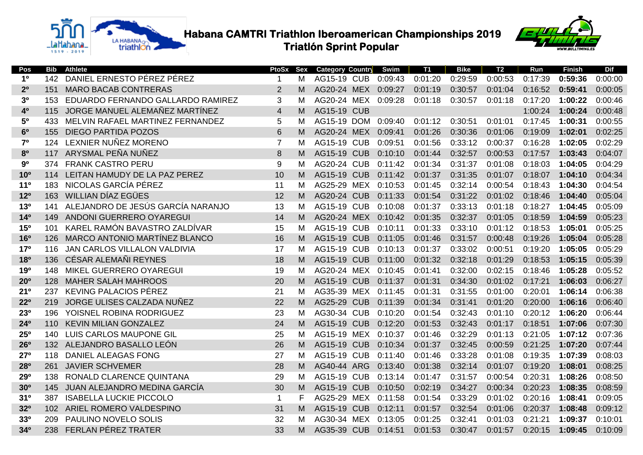



| Pos                   | Bib              | <b>Athlete</b>                      | PtoSx            | Sex | <b>Category Country</b> |            | Swim    | <b>T1</b> | <b>Bike</b> | <b>T2</b> | Run     | <b>Finish</b> | <b>Dif</b> |
|-----------------------|------------------|-------------------------------------|------------------|-----|-------------------------|------------|---------|-----------|-------------|-----------|---------|---------------|------------|
| 1 <sup>0</sup>        | 142              | DANIEL ERNESTO PÉREZ PÉREZ          | $\mathbf{1}$     | М   | <b>AG15-19 CUB</b>      |            | 0:09:43 | 0:01:20   | 0:29:59     | 0:00:53   | 0:17:39 | 0:59:36       | 0:00:00    |
| 2 <sup>0</sup>        | 151              | <b>MARO BACAB CONTRERAS</b>         | $\overline{2}$   | м   | AG20-24 MEX 0:09:27     |            |         | 0:01:19   | 0:30:57     | 0:01:04   | 0:16:52 | 0:59:41       | 0:00:05    |
| 3 <sup>0</sup>        | 153              | EDUARDO FERNANDO GALLARDO RAMIREZ   | 3                | м   | AG20-24 MEX             |            | 0:09:28 | 0:01:18   | 0:30:57     | 0:01:18   | 0:17:20 | 1:00:22       | 0:00:46    |
| 40                    | 115              | JORGE MANUEL ALEMAÑEZ MARTÍNEZ      | $\overline{4}$   | м   | <b>AG15-19 CUB</b>      |            |         |           |             |           | 1:00:24 | 1:00:24       | 0:00:48    |
| 50                    | 433              | MELVIN RAFAEL MARTINEZ FERNANDEZ    | 5                | м   | AG15-19 DOM             |            | 0:09:40 | 0:01:12   | 0:30:51     | 0:01:01   | 0:17:45 | 1:00:31       | 0:00:55    |
| 6 <sup>0</sup>        | 155              | <b>DIEGO PARTIDA POZOS</b>          | 6                | м   | AG20-24 MEX             |            | 0:09:41 | 0:01:26   | 0:30:36     | 0:01:06   | 0:19:09 | 1:02:01       | 0:02:25    |
| 7 <sup>o</sup>        | 124              | LEXNIER NUÑEZ MORENO                | $\overline{7}$   | м   | <b>AG15-19 CUB</b>      |            | 0:09:51 | 0:01:56   | 0:33:12     | 0:00:37   | 0:16:28 | 1:02:05       | 0:02:29    |
| 80                    |                  | 117 ARYSMAL PEÑA NUÑEZ              | 8                | м   | <b>AG15-19 CUB</b>      |            | 0:10:10 | 0:01:44   | 0:32:57     | 0:00:53   | 0:17:57 | 1:03:43       | 0:04:07    |
| 90                    | 374              | <b>FRANK CASTRO PERU</b>            | $\boldsymbol{9}$ | м   | AG20-24 CUB             |            | 0:11:42 | 0:01:34   | 0:31:37     | 0:01:08   | 0:18:03 | 1:04:05       | 0:04:29    |
| 10 <sup>o</sup>       | 114              | LEITAN HAMUDY DE LA PAZ PEREZ       | 10               | M   | <b>AG15-19 CUB</b>      |            | 0:11:42 | 0:01:37   | 0:31:35     | 0:01:07   | 0:18:07 | 1:04:10       | 0:04:34    |
| 11 <sup>0</sup>       | 183              | NICOLAS GARCÍA PÉREZ                | 11               | м   | AG25-29 MEX             |            | 0:10:53 | 0:01:45   | 0:32:14     | 0:00:54   | 0:18:43 | 1:04:30       | 0:04:54    |
| 12 <sup>o</sup>       | 163              | WILLIAN DÍAZ EGÜES                  | 12               | M   | <b>AG20-24 CUB</b>      |            | 0:11:33 | 0:01:54   | 0:31:22     | 0:01:02   | 0:18:46 | 1:04:40       | 0:05:04    |
| 13 <sup>0</sup>       | 141              | ALEJANDRO DE JESÚS GARCÍA NARANJO   | 13               | м   | <b>AG15-19 CUB</b>      |            | 0:10:08 | 0:01:37   | 0:33:13     | 0:01:18   | 0:18:27 | 1:04:45       | 0:05:09    |
| 14 <sup>0</sup>       | 149              | ANDONI GUERRERO OYAREGUI            | 14               | м   | AG20-24 MEX             |            | 0:10:42 | 0:01:35   | 0:32:37     | 0:01:05   | 0:18:59 | 1:04:59       | 0:05:23    |
| 15 <sup>o</sup>       | 101              | KAREL RAMÓN BAVASTRO ZALDÍVAR       | 15               | М   | AG15-19                 | <b>CUB</b> | 0:10:11 | 0:01:33   | 0:33:10     | 0:01:12   | 0:18:53 | 1:05:01       | 0:05:25    |
| <b>16<sup>o</sup></b> | 126              | MARCO ANTONIO MARTÍNEZ BLANCO       | 16               | M   | AG15-19 CUB             |            | 0:11:05 | 0:01:46   | 0:31:57     | 0:00:48   | 0:19:26 | 1:05:04       | 0:05:28    |
| 17 <sup>o</sup>       | 116              | <b>JAN CARLOS VILLALON VALDIVIA</b> | 17               | M   | <b>AG15-19 CUB</b>      |            | 0:10:13 | 0:01:37   | 0:33:02     | 0:00:51   | 0:19:20 | 1:05:05       | 0:05:29    |
| 180                   | 136              | CÉSAR ALEMAÑI REYNES                | 18               | M   | <b>AG15-19 CUB</b>      |            | 0:11:00 | 0:01:32   | 0:32:18     | 0:01:29   | 0:18:53 | 1:05:15       | 0:05:39    |
| 190                   | 148              | MIKEL GUERRERO OYAREGUI             | 19               | M   | AG20-24 MEX 0:10:45     |            |         | 0:01:41   | 0:32:00     | 0:02:15   | 0:18:46 | 1:05:28       | 0:05:52    |
| 20 <sup>o</sup>       | 128              | <b>MAHER SALAH MAHROOS</b>          | 20               | M   | <b>AG15-19 CUB</b>      |            | 0:11:37 | 0:01:31   | 0:34:30     | 0:01:02   | 0:17:21 | 1:06:03       | 0:06:27    |
| 21°                   | 237              | <b>KEVING PALACIOS PÉREZ</b>        | 21               | м   | AG35-39 MEX             |            | 0:11:45 | 0:01:31   | 0:31:55     | 0:01:00   | 0:20:01 | 1:06:14       | 0:06:38    |
| $22^{\circ}$          | 219              | JORGE ULISES CALZADA NUÑEZ          | 22               | м   | AG25-29 CUB             |            | 0:11:39 | 0:01:34   | 0:31:41     | 0:01:20   | 0:20:00 | 1:06:16       | 0:06:40    |
| 230                   | 196              | YOISNEL ROBINA RODRIGUEZ            | 23               | м   | AG30-34 CUB             |            | 0:10:20 | 0:01:54   | 0:32:43     | 0:01:10   | 0:20:12 | 1:06:20       | 0:06:44    |
| 24 <sup>o</sup>       | 110              | <b>KEVIN MILIAN GONZALEZ</b>        | 24               | M   | <b>AG15-19 CUB</b>      |            | 0:12:20 | 0:01:53   | 0:32:43     | 0:01:17   | 0:18:51 | 1:07:06       | 0:07:30    |
| 25 <sup>o</sup>       | 140              | <b>LUIS CARLOS MAUPONE GIL</b>      | 25               | м   | AG15-19 MEX             |            | 0:10:37 | 0:01:46   | 0:32:29     | 0:01:13   | 0:21:05 | 1:07:12       | 0:07:36    |
| 26 <sup>o</sup>       | 132 <sub>2</sub> | ALEJANDRO BASALLO LEÓN              | 26               | M   | <b>AG15-19 CUB</b>      |            | 0:10:34 | 0:01:37   | 0:32:45     | 0:00:59   | 0:21:25 | 1:07:20       | 0:07:44    |
| 27 <sup>o</sup>       | 118              | <b>DANIEL ALEAGAS FONG</b>          | 27               | м   | <b>AG15-19 CUB</b>      |            | 0:11:40 | 0:01:46   | 0:33:28     | 0:01:08   | 0:19:35 | 1:07:39       | 0:08:03    |
| 280                   | 261              | <b>JAVIER SCHVEMER</b>              | 28               | M   | AG40-44 ARG             |            | 0:13:40 | 0:01:38   | 0:32:14     | 0:01:07   | 0:19:20 | 1:08:01       | 0:08:25    |
| 290                   | 138              | RONALD CLARENCE QUINTANA            | 29               | м   | AG15-19                 | <b>CUB</b> | 0:13:14 | 0:01:47   | 0:31:57     | 0:00:54   | 0:20:31 | 1:08:26       | 0:08:50    |
| 30 <sup>o</sup>       |                  | 145 JUAN ALEJANDRO MEDINA GARCÍA    | 30               | M   | AG15-19 CUB             |            | 0:10:50 | 0:02:19   | 0:34:27     | 0:00:34   | 0:20:23 | 1:08:35       | 0:08:59    |
| 31 <sup>0</sup>       | 387              | <b>ISABELLA LUCKIE PICCOLO</b>      | $\mathbf{1}$     | F   | AG25-29 MEX             |            | 0:11:58 | 0:01:54   | 0:33:29     | 0:01:02   | 0:20:16 | 1:08:41       | 0:09:05    |
| 320                   | 102 <sub>1</sub> | ARIEL ROMERO VALDESPINO             | 31               | M   | <b>AG15-19 CUB</b>      |            | 0:12:11 | 0:01:57   | 0:32:54     | 0:01:06   | 0:20:37 | 1:08:48       | 0:09:12    |
| 330                   | 209              | PAULINO NOVELO SOLIS                | 32               | м   | AG30-34 MEX             |            | 0:13:05 | 0:01:25   | 0:32:41     | 0:01:03   | 0:21:21 | 1:09:37       | 0:10:01    |
| 340                   | 238              | FERLAN PÉREZ TRATER                 | 33               | м   | AG35-39 CUB             |            | 0:14:51 | 0:01:53   | 0:30:47     | 0:01:57   | 0:20:15 | 1:09:45       | 0:10:09    |
|                       |                  |                                     |                  |     |                         |            |         |           |             |           |         |               |            |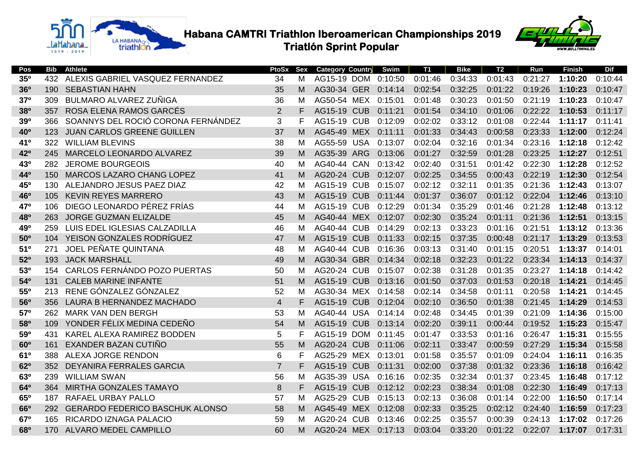



| Pos             | Bib  | <b>Athlete</b>                         | PtoSx          | Sex | <b>Category Country</b> | Swim    | <b>T1</b> | <b>Bike</b> | T <sub>2</sub> | Run     | <b>Finish</b> | <b>Dif</b> |
|-----------------|------|----------------------------------------|----------------|-----|-------------------------|---------|-----------|-------------|----------------|---------|---------------|------------|
| 350             | 432  | ALEXIS GABRIEL VASQUEZ FERNANDEZ       | 34             | M   | AG15-19 DOM             | 0:10:50 | 0:01:46   | 0:34:33     | 0:01:43        | 0:21:27 | 1:10:20       | 0:10:44    |
| <b>36°</b>      | 190  | <b>SEBASTIAN HAHN</b>                  | 35             | M   | AG30-34 GER             | 0:14:14 | 0:02:54   | 0:32:25     | 0:01:22        | 0:19:26 | 1:10:23       | 0:10:47    |
| 370             | 309  | BULMARO ALVAREZ ZUÑIGA                 | 36             | м   | AG50-54 MEX             | 0:15:01 | 0:01:48   | 0:30:23     | 0:01:50        | 0:21:19 | 1:10:23       | 0:10:47    |
| 380             | 357  | ROSA ELENA RAMOS GARCÉS                | 2              | F   | AG15-19 CUB             | 0:11:21 | 0:01:54   | 0:34:10     | 0:01:06        | 0:22:22 | 1:10:53       | 0:11:17    |
| 390             | 366  | SOANNYS DEL ROCIÓ CORONA FERNÁNDEZ     | 3              | F   | <b>AG15-19 CUB</b>      | 0:12:09 | 0:02:02   | 0:33:12     | 0:01:08        | 0:22:44 | 1:11:17       | 0:11:41    |
| 40 <sup>o</sup> | 123. | JUAN CARLOS GREENE GUILLEN             | 37             | м   | AG45-49 MEX             | 0:11:11 | 0:01:33   | 0:34:43     | 0:00:58        | 0:23:33 | 1:12:00       | 0:12:24    |
| 41 <sup>0</sup> | 322  | <b>WILLIAM BLEVINS</b>                 | 38             | м   | AG55-59 USA             | 0:13:07 | 0:02:04   | 0:32:16     | 0:01:34        | 0:23:16 | 1:12:18       | 0:12:42    |
| 42°             | 245  | MARCELO LEONARDO ALVAREZ               | 39             | M   | AG35-39 ARG             | 0:13:06 | 0:01:27   | 0:32:59     | 0:01:28        | 0:23:25 | 1:12:27       | 0:12:51    |
| 43°             | 282  | <b>JEROME BOURGEOIS</b>                | 40             | м   | AG40-44 CAN             | 0:13:42 | 0:02:40   | 0:31:51     | 0:01:42        | 0:22:30 | 1:12:28       | 0:12:52    |
| 440             | 150  | MARCOS LAZARO CHANG LOPEZ              | 41             | м   | AG20-24 CUB             | 0:12:07 | 0:02:25   | 0:34:55     | 0:00:43        | 0:22:19 | 1:12:30       | 0:12:54    |
| 45°             | 130  | ALEJANDRO JESUS PAEZ DIAZ              | 42             | м   | <b>AG15-19 CUB</b>      | 0:15:07 | 0:02:12   | 0:32:11     | 0:01:35        | 0:21:36 | 1:12:43       | 0:13:07    |
| 46°             | 105  | <b>KEVIN REYES MARRERO</b>             | 43             | м   | <b>AG15-19 CUB</b>      | 0:11:44 | 0:01:37   | 0:36:07     | 0:01:12        | 0:22:04 | 1:12:46       | 0:13:10    |
| 47°             | 106  | DIEGO LEONARDO PÉREZ FRÍAS             | 44             | м   | <b>AG15-19 CUB</b>      | 0:12:29 | 0:01:34   | 0:35:29     | 0:01:46        | 0:21:28 | 1:12:48       | 0:13:12    |
| 480             | 263  | <b>JORGE GUZMAN ELIZALDE</b>           | 45             | м   | AG40-44 MEX             | 0:12:07 | 0:02:30   | 0:35:24     | 0:01:11        | 0:21:36 | 1:12:51       | 0:13:15    |
| 490             | 259  | LUIS EDEL IGLESIAS CALZADILLA          | 46             | м   | <b>AG40-44 CUB</b>      | 0:14:29 | 0:02:13   | 0:33:23     | 0:01:16        | 0:21:51 | 1:13:12       | 0:13:36    |
| 50 <sup>o</sup> |      | 104 YEISON GONZALES RODRÍGUEZ          | 47             | M   | <b>AG15-19 CUB</b>      | 0:11:33 | 0:02:15   | 0:37:35     | 0:00:48        | 0:21:17 | 1:13:29       | 0:13:53    |
| 510             | 271  | JOEL PEÑATE QUINTANA                   | 48             | M   | <b>AG40-44 CUB</b>      | 0:16:36 | 0:03:13   | 0:31:40     | 0:01:15        | 0:20:51 | 1:13:37       | 0:14:01    |
| 52 <sup>o</sup> | 193  | <b>JACK MARSHALL</b>                   | 49             | M   | AG30-34 GBR             | 0:14:34 | 0:02:18   | 0:32:23     | 0:01:22        | 0:23:34 | 1:14:13       | 0:14:37    |
| 530             | 154  | CARLOS FERNÁNDO POZO PUERTAS           | 50             | м   | <b>AG20-24 CUB</b>      | 0:15:07 | 0:02:38   | 0:31:28     | 0:01:35        | 0:23:27 | 1:14:18       | 0:14:42    |
| 54°             | 131  | <b>CALEB MARINE INFANTE</b>            | 51             | м   | <b>AG15-19 CUB</b>      | 0:13:16 | 0:01:50   | 0:37:03     | 0:01:53        | 0:20:18 | 1:14:21       | 0:14:45    |
| 55°             | 213  | RENE GÓNZALEZ GÓNZALEZ                 | 52             | М   | AG30-34 MEX             | 0:14:58 | 0:02:14   | 0:34:58     | 0:01:11        | 0:20:58 | 1:14:21       | 0:14:45    |
| <b>56°</b>      | 356  | LAURA B HERNANDEZ MACHADO              | $\overline{4}$ | F   | <b>AG15-19 CUB</b>      | 0:12:04 | 0:02:10   | 0:36:50     | 0:01:38        | 0:21:45 | 1:14:29       | 0:14:53    |
| 57°             | 262  | <b>MARK VAN DEN BERGH</b>              | 53             | м   | AG40-44 USA             | 0:14:14 | 0:02:48   | 0:34:45     | 0:01:39        | 0:21:09 | 1:14:36       | 0:15:00    |
| 580             | 109  | YONDER FÉLIX MEDINA CEDEÑO             | 54             | M   | <b>AG15-19 CUB</b>      | 0:13:14 | 0:02:20   | 0:39:11     | 0:00:44        | 0:19:52 | 1:15:23       | 0:15:47    |
| 590             | 431  | KAREL ALEXA RAMIREZ BODDEN             | 5              | F   | <b>AG15-19 DOM</b>      | 0:11:45 | 0:01:47   | 0:33:53     | 0:01:16        | 0:26:47 | 1:15:31       | 0:15:55    |
| 60 <sup>o</sup> | 161  | EXANDER BAZAN CUTIÑO                   | 55             | м   | <b>AG20-24 CUB</b>      | 0:11:06 | 0:02:11   | 0:33:47     | 0:00:59        | 0:27:29 | 1:15:34       | 0:15:58    |
| 61º             | 388  | ALEXA JORGE RENDON                     | 6              | F   | AG25-29 MEX             | 0:13:01 | 0:01:58   | 0:35:57     | 0:01:09        | 0:24:04 | 1:16:11       | 0:16:35    |
| 62º             | 352  | <b>DEYANIRA FERRALES GARCIA</b>        | $\overline{7}$ | F.  | <b>AG15-19 CUB</b>      | 0:11:31 | 0:02:00   | 0:37:38     | 0:01:32        | 0:23:36 | 1:16:18       | 0:16:42    |
| 630             | 239  | <b>WILLIAM SWAN</b>                    | 56             | м   | AG35-39 USA             | 0:16:16 | 0:02:35   | 0:32:34     | 0:01:37        | 0:23:45 | 1:16:48       | 0:17:12    |
| 64°             | 364  | <b>MIRTHA GONZALES TAMAYO</b>          | 8              | F.  | AG15-19 CUB             | 0:12:12 | 0:02:23   | 0:38:34     | 0:01:08        | 0:22:30 | 1:16:49       | 0:17:13    |
| 65°             | 187  | <b>RAFAEL URBAY PALLO</b>              | 57             | м   | <b>AG25-29 CUB</b>      | 0:15:13 | 0:02:13   | 0:36:08     | 0:01:14        | 0:22:00 | 1:16:50       | 0:17:14    |
| 66 <sup>o</sup> | 292  | <b>GERARDO FEDERICO BASCHUK ALONSO</b> | 58             | M   | <b>AG45-49 MEX</b>      | 0:12:08 | 0:02:33   | 0:35:25     | 0:02:12        | 0:24:40 | 1:16:59       | 0:17:23    |
| 67°             | 165  | RICARDO IZNAGA PALACIO                 | 59             | м   | <b>AG20-24 CUB</b>      | 0:13:46 | 0:02:25   | 0:35:57     | 0:00:39        | 0:24:13 | 1:17:02       | 0:17:26    |
| 680             | 170  | ALVARO MEDEL CAMPILLO                  | 60             | м   | AG20-24 MEX 0:17:13     |         | 0:03:04   | 0:33:20     | 0:01:22        | 0:22:07 | 1:17:07       | 0:17:31    |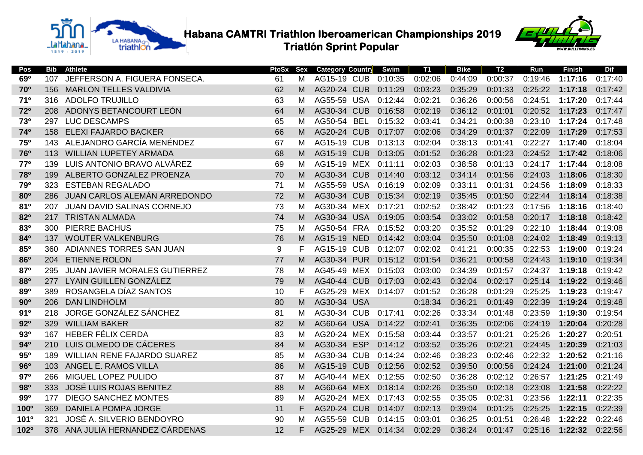



| Pos              | <b>Bib</b> | <b>Athlete</b>                     | PtoSx | Sex | <b>Category Country</b> | Swim    | <b>T1</b> | <b>Bike</b> | <b>T2</b> | Run     | <b>Finish</b> | <b>Dif</b> |
|------------------|------------|------------------------------------|-------|-----|-------------------------|---------|-----------|-------------|-----------|---------|---------------|------------|
| 690              | 107        | JEFFERSON A. FIGUERA FONSECA.      | 61    | м   | <b>AG15-19 CUB</b>      | 0:10:35 | 0:02:06   | 0:44:09     | 0:00:37   | 0:19:46 | 1:17:16       | 0:17:40    |
| <b>70°</b>       | 156        | <b>MARLON TELLES VALDIVIA</b>      | 62    | M   | AG20-24 CUB             | 0:11:29 | 0:03:23   | 0:35:29     | 0:01:33   | 0:25:22 | 1:17:18       | 0:17:42    |
| 710              | 316        | <b>ADOLFO TRUJILLO</b>             | 63    | м   | AG55-59 USA             | 0:12:44 | 0:02:21   | 0:36:26     | 0:00:56   | 0:24:51 | 1:17:20       | 0:17:44    |
| 72°              | 208        | ADONYS BETANCOURT LEÓN             | 64    | м   | AG30-34 CUB             | 0:16:58 | 0:02:19   | 0:36:12     | 0:01:01   | 0:20:52 | 1:17:23       | 0:17:47    |
| 730              | 297        | <b>LUC DESCAMPS</b>                | 65    | м   | AG50-54 BEL             | 0:15:32 | 0:03:41   | 0:34:21     | 0:00:38   | 0:23:10 | 1:17:24       | 0:17:48    |
| 74°              | 158        | <b>ELEXI FAJARDO BACKER</b>        | 66    | м   | AG20-24 CUB             | 0:17:07 | 0:02:06   | 0:34:29     | 0:01:37   | 0:22:09 | 1:17:29       | 0:17:53    |
| 75°              | 143        | ALEJANDRO GARCÍA MENÉNDEZ          | 67    | м   | <b>AG15-19 CUB</b>      | 0:13:13 | 0:02:04   | 0:38:13     | 0:01:41   | 0:22:27 | 1:17:40       | 0:18:04    |
| 76°              | 113        | <b>WILLIAN LUPETEY ARMADA</b>      | 68    | м   | <b>AG15-19 CUB</b>      | 0:13:05 | 0:01:52   | 0:36:28     | 0:01:23   | 0:24:52 | 1:17:42       | 0:18:06    |
| 77°              | 139        | LUIS ANTONIO BRAVO ALVÁREZ         | 69    | м   | AG15-19 MEX             | 0:11:11 | 0:02:03   | 0:38:58     | 0:01:13   | 0:24:17 | 1:17:44       | 0:18:08    |
| 780              | 199        | ALBERTO GONZALEZ PROENZA           | 70    | М   | AG30-34 CUB             | 0:14:40 | 0:03:12   | 0:34:14     | 0:01:56   | 0:24:03 | 1:18:06       | 0:18:30    |
| 79º              | 323        | <b>ESTEBAN REGALADO</b>            | 71    | М   | AG55-59 USA             | 0:16:19 | 0:02:09   | 0:33:11     | 0:01:31   | 0:24:56 | 1:18:09       | 0:18:33    |
| <b>80°</b>       | 286        | JUAN CARLOS ALEMÁN ARREDONDO       | 72    | м   | AG30-34 CUB             | 0:15:34 | 0:02:19   | 0:35:45     | 0:01:50   | 0:22:44 | 1:18:14       | 0:18:38    |
| 810              | 207        | <b>JUAN DAVID SALINAS CORNEJO</b>  | 73    | м   | AG30-34 MEX             | 0:17:21 | 0:02:52   | 0:38:42     | 0:01:23   | 0:17:56 | 1:18:16       | 0:18:40    |
| 820              | 217        | <b>TRISTAN ALMADA</b>              | 74    | м   | AG30-34 USA             | 0:19:05 | 0:03:54   | 0:33:02     | 0:01:58   | 0:20:17 | 1:18:18       | 0:18:42    |
| 830              | 300        | <b>PIERRE BACHUS</b>               | 75    | м   | AG50-54 FRA             | 0:15:52 | 0:03:20   | 0:35:52     | 0:01:29   | 0:22:10 | 1:18:44       | 0:19:08    |
| 840              | 137        | <b>WOUTER VALKENBURG</b>           | 76    | м   | AG15-19 NED             | 0:14:42 | 0:03:04   | 0:35:50     | 0:01:08   | 0:24:02 | 1:18:49       | 0:19:13    |
| 85°              | 360        | ADIANNES TORRES SAN JUAN           | 9     | F.  | <b>AG15-19 CUB</b>      | 0:12:07 | 0:02:02   | 0:41:21     | 0:00:35   | 0:22:53 | 1:19:00       | 0:19:24    |
| 860              | 204        | <b>ETIENNE ROLON</b>               | 77    | м   | AG30-34 PUR             | 0:15:12 | 0:01:54   | 0:36:21     | 0:00:58   | 0:24:43 | 1:19:10       | 0:19:34    |
| 870              | 295        | JUAN JAVIER MORALES GUTIERREZ      | 78    | м   | AG45-49 MEX             | 0:15:03 | 0:03:00   | 0:34:39     | 0:01:57   | 0:24:37 | 1:19:18       | 0:19:42    |
| 880              | 277        | LYAIN GUILLEN GONZÁLEZ             | 79    | м   | AG40-44 CUB             | 0:17:03 | 0:02:43   | 0:32:04     | 0:02:17   | 0:25:14 | 1:19:22       | 0:19:46    |
| 890              | 389        | ROSANGELA DÍAZ SANTOS              | 10    | F   | AG25-29 MEX             | 0:14:07 | 0:01:52   | 0:36:28     | 0:01:29   | 0:25:25 | 1:19:23       | 0:19:47    |
| 90°              | 206        | <b>DAN LINDHOLM</b>                | 80    | м   | AG30-34 USA             |         | 0:18:34   | 0:36:21     | 0:01:49   | 0:22:39 | 1:19:24       | 0:19:48    |
| 91°              | 218        | JORGE GONZÁLEZ SÁNCHEZ             | 81    | м   | AG30-34 CUB             | 0:17:41 | 0:02:26   | 0:33:34     | 0:01:48   | 0:23:59 | 1:19:30       | 0:19:54    |
| 92°              | 329        | <b>WILLIAM BAKER</b>               | 82    | м   | AG60-64 USA             | 0:14:22 | 0:02:41   | 0:36:35     | 0:02:06   | 0:24:19 | 1:20:04       | 0:20:28    |
| 930              | 167        | <b>HEBER FÉLIX CERDA</b>           | 83    | м   | AG20-24 MEX             | 0:15:58 | 0:03:44   | 0:33:57     | 0:01:21   | 0:25:26 | 1:20:27       | 0:20:51    |
| 94°              | 210        | LUIS OLMEDO DE CÁCERES             | 84    | м   | AG30-34 ESP             | 0:14:12 | 0:03:52   | 0:35:26     | 0:02:21   | 0:24:45 | 1:20:39       | 0:21:03    |
| 95°              | 189        | <b>WILLIAN RENE FAJARDO SUAREZ</b> | 85    | м   | AG30-34 CUB             | 0:14:24 | 0:02:46   | 0:38:23     | 0:02:46   | 0:22:32 | 1:20:52       | 0:21:16    |
| 96°              | 103        | ANGEL E. RAMOS VILLA               | 86    | M   | <b>AG15-19 CUB</b>      | 0:12:56 | 0:02:52   | 0:39:50     | 0:00:56   | 0:24:24 | 1:21:00       | 0:21:24    |
| 97°              | 266        | MIGUEL LOPEZ PULIDO                | 87    | м   | AG40-44 MEX             | 0:12:55 | 0:02:50   | 0:36:28     | 0:02:12   | 0:26:57 | 1:21:25       | 0:21:49    |
| 980              | 333        | JOSÉ LUIS ROJAS BENITEZ            | 88    | M   | AG60-64 MEX             | 0:18:14 | 0:02:26   | 0:35:50     | 0:02:18   | 0:23:08 | 1:21:58       | 0:22:22    |
| 990              | 177        | <b>DIEGO SANCHEZ MONTES</b>        | 89    | м   | AG20-24 MEX             | 0:17:43 | 0:02:55   | 0:35:05     | 0:02:31   | 0:23:56 | 1:22:11       | 0:22:35    |
| 100 <sup>o</sup> | 369        | <b>DANIELA POMPA JORGE</b>         | 11    | F.  | <b>AG20-24 CUB</b>      | 0:14:07 | 0:02:13   | 0:39:04     | 0:01:25   | 0:25:25 | 1:22:15       | 0:22:39    |
| 101 <sup>o</sup> | 321        | JOSÉ A. SILVERIO BENDOYRO          | 90    | м   | AG55-59 CUB             | 0:14:15 | 0:03:01   | 0:36:25     | 0:01:51   | 0:26:48 | 1:22:22       | 0:22:46    |
| <b>102º</b>      | 378        | ANA JULIA HERNANDEZ CÁRDENAS       | 12    | F.  | AG25-29 MEX 0:14:34     |         | 0:02:29   | 0:38:24     | 0:01:47   | 0:25:16 | 1:22:32       | 0:22:56    |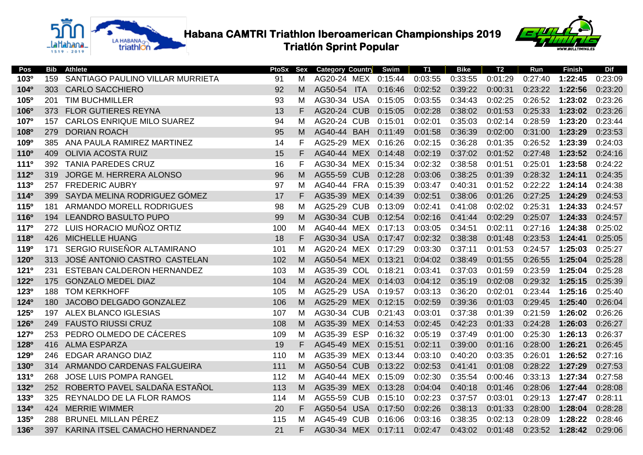

**TABLE Habana CAMTRI Triathlon Iberoamerican Championships 2019 Triatlón Sprint Popular**



| Pos                    | Bib | <b>Athlete</b>                    | PtoSx | Sex | <b>Category Country</b> |            | Swim    | <b>T1</b> | <b>Bike</b> | T <sub>2</sub> | Run     | <b>Finish</b> | <b>Dif</b> |
|------------------------|-----|-----------------------------------|-------|-----|-------------------------|------------|---------|-----------|-------------|----------------|---------|---------------|------------|
| 103 <sup>o</sup>       | 159 | SANTIAGO PAULINO VILLAR MURRIETA  | 91    | м   | AG20-24 MEX             |            | 0:15:44 | 0:03:55   | 0:33:55     | 0:01:29        | 0:27:40 | 1:22:45       | 0:23:09    |
| <b>104°</b>            | 303 | <b>CARLO SACCHIERO</b>            | 92    | M   | AG50-54                 | <b>ITA</b> | 0:16:46 | 0:02:52   | 0:39:22     | 0:00:31        | 0:23:22 | 1:22:56       | 0:23:20    |
| 105 <sup>°</sup>       | 201 | <b>TIM BUCHMILLER</b>             | 93    | м   | AG30-34 USA             |            | 0:15:05 | 0:03:55   | 0:34:43     | 0:02:25        | 0:26:52 | 1:23:02       | 0:23:26    |
| 106 <sup>o</sup>       | 373 | <b>FLOR GUTIERES REYNA</b>        | 13    | F   | <b>AG20-24 CUB</b>      |            | 0:15:05 | 0:02:28   | 0:38:02     | 0:01:53        | 0:25:33 | 1:23:02       | 0:23:26    |
| 107 <sup>o</sup>       | 157 | <b>CARLOS ENRIQUE MILO SUAREZ</b> | 94    | м   | <b>AG20-24 CUB</b>      |            | 0:15:01 | 0:02:01   | 0:35:03     | 0:02:14        | 0:28:59 | 1:23:20       | 0:23:44    |
| <b>108°</b>            | 279 | <b>DORIAN ROACH</b>               | 95    | м   | AG40-44 BAH             |            | 0:11:49 | 0:01:58   | 0:36:39     | 0:02:00        | 0:31:00 | 1:23:29       | 0:23:53    |
| 109 <sup>o</sup>       | 385 | ANA PAULA RAMIREZ MARTINEZ        | 14    | F   | AG25-29 MEX             |            | 0:16:26 | 0:02:15   | 0:36:28     | 0:01:35        | 0:26:52 | 1:23:39       | 0:24:03    |
| <b>110°</b>            | 409 | <b>OLIVIA ACOSTA RUIZ</b>         | 15    | F   | AG40-44 MEX             |            | 0:14:48 | 0:02:19   | 0:37:02     | 0:01:52        | 0:27:48 | 1:23:52       | 0:24:16    |
| <b>111º</b>            | 392 | <b>TANIA PAREDES CRUZ</b>         | 16    | F   | AG30-34 MEX             |            | 0:15:34 | 0:02:32   | 0:38:58     | 0:01:51        | 0:25:01 | 1:23:58       | 0:24:22    |
| 1120                   | 319 | JORGE M. HERRERA ALONSO           | 96    | м   | <b>AG55-59 CUB</b>      |            | 0:12:28 | 0:03:06   | 0:38:25     | 0:01:39        | 0:28:32 | 1:24:11       | 0:24:35    |
| 113 <sup>o</sup>       | 257 | <b>FREDERIC AUBRY</b>             | 97    | м   | AG40-44 FRA             |            | 0:15:39 | 0:03:47   | 0:40:31     | 0:01:52        | 0:22:22 | 1:24:14       | 0:24:38    |
| 114 <sup>0</sup>       | 399 | SAYDA MELINA RODRIGUEZ GÓMEZ      | 17    | F   | AG35-39 MEX             |            | 0:14:39 | 0:02:51   | 0:38:06     | 0:01:26        | 0:27:25 | 1:24:29       | 0:24:53    |
| <b>115°</b>            | 181 | ARMANDO MORELL RODRIGUES          | 98    | м   | <b>AG25-29 CUB</b>      |            | 0:13:09 | 0:02:41   | 0:41:08     | 0:02:02        | 0:25:31 | 1:24:33       | 0:24:57    |
| <b>116<sup>°</sup></b> | 194 | LEANDRO BASULTO PUPO              | 99    | M   | AG30-34 CUB             |            | 0:12:54 | 0:02:16   | 0:41:44     | 0:02:29        | 0:25:07 | 1:24:33       | 0:24:57    |
| <b>117<sup>o</sup></b> |     | 272 LUIS HORACIO MUÑOZ ORTIZ      | 100   | м   | AG40-44 MEX             |            | 0:17:13 | 0:03:05   | 0:34:51     | 0:02:11        | 0:27:16 | 1:24:38       | 0:25:02    |
| <b>118°</b>            | 426 | <b>MICHELLE HUANG</b>             | 18    | F   | AG30-34 USA             |            | 0:17:47 | 0:02:32   | 0:38:38     | 0:01:48        | 0:23:53 | 1:24:41       | 0:25:05    |
| <b>119°</b>            | 171 | SERGIO RUISEÑOR ALTAMIRANO        | 101   | м   | AG20-24 MEX             |            | 0:17:29 | 0:03:30   | 0:37:11     | 0:01:53        | 0:24:57 | 1:25:03       | 0:25:27    |
| <b>120°</b>            | 313 | JOSÉ ANTONIO CASTRO CASTELAN      | 102   | м   | AG50-54 MEX             |            | 0:13:21 | 0:04:02   | 0:38:49     | 0:01:55        | 0:26:55 | 1:25:04       | 0:25:28    |
| <b>121º</b>            | 231 | ESTEBAN CALDERON HERNANDEZ        | 103   | м   | AG35-39 COL             |            | 0:18:21 | 0:03:41   | 0:37:03     | 0:01:59        | 0:23:59 | 1:25:04       | 0:25:28    |
| 1220                   | 175 | <b>GONZALO MEDEL DIAZ</b>         | 104   | м   | AG20-24 MEX             |            | 0:14:03 | 0:04:12   | 0:35:19     | 0:02:08        | 0:29:32 | 1:25:15       | 0:25:39    |
| <b>123º</b>            | 188 | <b>TOM KERKHOFF</b>               | 105   | м   | AG25-29 USA             |            | 0:19:57 | 0:03:13   | 0:36:20     | 0:02:01        | 0:23:44 | 1:25:16       | 0:25:40    |
| 1240                   | 180 | JACOBO DELGADO GONZALEZ           | 106   | м   | AG25-29 MEX             |            | 0:12:15 | 0:02:59   | 0:39:36     | 0:01:03        | 0:29:45 | 1:25:40       | 0:26:04    |
| <b>125°</b>            | 197 | <b>ALEX BLANCO IGLESIAS</b>       | 107   | М   | AG30-34 CUB             |            | 0:21:43 | 0:03:01   | 0:37:38     | 0:01:39        | 0:21:59 | 1:26:02       | 0:26:26    |
| <b>126°</b>            | 249 | <b>FAUSTO RIUSSI CRUZ</b>         | 108   | M   | AG35-39 MEX             |            | 0:14:53 | 0:02:45   | 0:42:23     | 0:01:33        | 0:24:28 | 1:26:03       | 0:26:27    |
| <b>127°</b>            | 253 | PEDRO OLMEDO DE CÁCERES           | 109   | м   | AG35-39 ESP             |            | 0:16:32 | 0:05:19   | 0:37:49     | 0:01:00        | 0:25:30 | 1:26:13       | 0:26:37    |
| <b>128°</b>            | 416 | <b>ALMA ESPARZA</b>               | 19    | F   | AG45-49 MEX             |            | 0:15:51 | 0:02:11   | 0:39:00     | 0:01:16        | 0:28:00 | 1:26:21       | 0:26:45    |
| <b>129°</b>            | 246 | <b>EDGAR ARANGO DIAZ</b>          | 110   | м   | AG35-39 MEX             |            | 0:13:44 | 0:03:10   | 0:40:20     | 0:03:35        | 0:26:01 | 1:26:52       | 0:27:16    |
| <b>130°</b>            |     | 314 ARMANDO CARDENAS FALGUEIRA    | 111   | M   | AG50-54 CUB             |            | 0:13:22 | 0:02:53   | 0:41:41     | 0:01:08        | 0:28:22 | 1:27:29       | 0:27:53    |
| <b>131º</b>            | 268 | <b>JOSE LUIS POMPA RANGEL</b>     | 112   | м   | AG40-44 MEX             |            | 0:15:09 | 0:02:30   | 0:35:54     | 0:00:46        | 0:33:13 | 1:27:34       | 0:27:58    |
| 1320                   | 252 | ROBERTO PAVEL SALDAÑA ESTAÑOL     | 113   | м   | AG35-39 MEX             |            | 0:13:28 | 0:04:04   | 0:40:18     | 0:01:46        | 0:28:06 | 1:27:44       | 0:28:08    |
| <b>133º</b>            | 325 | REYNALDO DE LA FLOR RAMOS         | 114   | м   | AG55-59 CUB             |            | 0:15:10 | 0:02:23   | 0:37:57     | 0:03:01        | 0:29:13 | 1:27:47       | 0:28:11    |
| 1340                   | 424 | <b>MERRIE WIMMER</b>              | 20    | F   | AG50-54 USA             |            | 0:17:50 | 0:02:26   | 0:38:13     | 0:01:33        | 0:28:00 | 1:28:04       | 0:28:28    |
| <b>135°</b>            | 288 | <b>BRUNEL MILLAN PÉREZ</b>        | 115   | м   | <b>AG45-49 CUB</b>      |            | 0:16:06 | 0:03:16   | 0:38:35     | 0:02:13        | 0:28:09 | 1:28:22       | 0:28:46    |
| <b>136°</b>            | 397 | KARINA ITSEL CAMACHO HERNANDEZ    | 21    | F   | AG30-34 MEX 0:17:11     |            |         | 0:02:47   | 0:43:02     | 0:01:48        | 0:23:52 | 1:28:42       | 0:29:06    |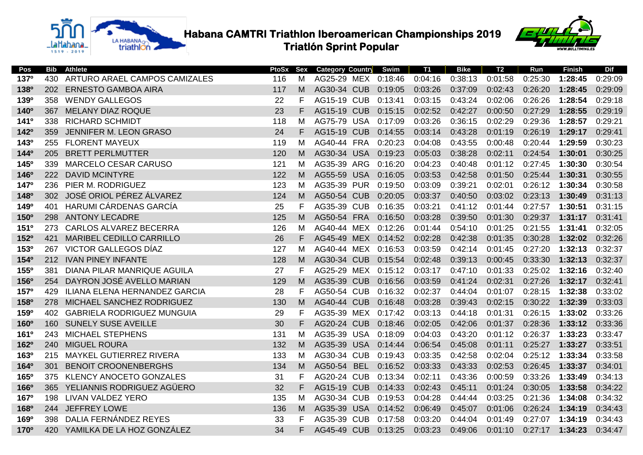

 **Habana CAMTRI Triathlon Iberoamerican Championships 2019**<br>Triatlón Sprint Popular  **Triatlón Sprint Popular**



| Pos                    | <b>Bib</b> | <b>Athlete</b>                    | PtoSx | Sex | <b>Category Country</b> |            | Swim    | <b>T1</b> | <b>Bike</b> | <b>T2</b> | Run     | <b>Finish</b> | <b>Dif</b> |
|------------------------|------------|-----------------------------------|-------|-----|-------------------------|------------|---------|-----------|-------------|-----------|---------|---------------|------------|
| <b>137°</b>            | 430        | ARTURO ARAEL CAMPOS CAMIZALES     | 116   | м   | AG25-29 MEX 0:18:46     |            |         | 0:04:16   | 0:38:13     | 0:01:58   | 0:25:30 | 1:28:45       | 0:29:09    |
| <b>138°</b>            | 202        | <b>ERNESTO GAMBOA AIRA</b>        | 117   | M   | AG30-34 CUB             |            | 0:19:05 | 0:03:26   | 0:37:09     | 0:02:43   | 0:26:20 | 1:28:45       | 0:29:09    |
| <b>139°</b>            | 358        | <b>WENDY GALLEGOS</b>             | 22    | F   | <b>AG15-19 CUB</b>      |            | 0:13:41 | 0:03:15   | 0:43:24     | 0:02:06   | 0:26:26 | 1:28:54       | 0:29:18    |
| <b>140°</b>            | 367        | <b>MELANY DIAZ ROQUE</b>          | 23    | F   | AG15-19 CUB             |            | 0:15:15 | 0:02:52   | 0:42:27     | 0:00:50   | 0:27:29 | 1:28:55       | 0:29:19    |
| <b>141<sup>o</sup></b> | 338        | <b>RICHARD SCHMIDT</b>            | 118   | м   | AG75-79 USA             |            | 0:17:09 | 0:03:26   | 0:36:15     | 0:02:29   | 0:29:36 | 1:28:57       | 0:29:21    |
| 142º                   | 359        | JENNIFER M. LEON GRASO            | 24    | F.  | AG15-19 CUB             |            | 0:14:55 | 0:03:14   | 0:43:28     | 0:01:19   | 0:26:19 | 1:29:17       | 0:29:41    |
| 1430                   | 255        | <b>FLORENT MAYEUX</b>             | 119   | м   | AG40-44 FRA             |            | 0:20:23 | 0:04:08   | 0:43:55     | 0:00:48   | 0:20:44 | 1:29:59       | 0:30:23    |
| 1440                   | 205        | <b>BRETT PERLMUTTER</b>           | 120   | м   | AG30-34 USA             |            | 0:19:23 | 0:05:03   | 0:38:28     | 0:02:11   | 0:24:54 | 1:30:01       | 0:30:25    |
| <b>145°</b>            | 339        | <b>MARCELO CESAR CARUSO</b>       | 121   | м   | AG35-39 ARG             |            | 0:16:20 | 0:04:23   | 0:40:48     | 0:01:12   | 0:27:45 | 1:30:30       | 0:30:54    |
| <b>146°</b>            | 222        | <b>DAVID MCINTYRE</b>             | 122   | м   | AG55-59                 | <b>USA</b> | 0:16:05 | 0:03:53   | 0:42:58     | 0:01:50   | 0:25:44 | 1:30:31       | 0:30:55    |
| <b>147°</b>            | 236        | PIER M. RODRIGUEZ                 | 123   | М   | AG35-39 PUR             |            | 0:19:50 | 0:03:09   | 0:39:21     | 0:02:01   | 0:26:12 | 1:30:34       | 0:30:58    |
| <b>148<sup>°</sup></b> | 302        | JOSÉ ORIOL PÉREZ ÁLVAREZ          | 124   | м   | AG50-54 CUB             |            | 0:20:05 | 0:03:37   | 0:40:50     | 0:03:02   | 0:23:13 | 1:30:49       | 0:31:13    |
| <b>149°</b>            | 401        | HARUMI CÁRDENAS GARCÍA            | 25    | F.  | AG35-39 CUB             |            | 0:16:35 | 0:03:21   | 0:41:12     | 0:01:44   | 0:27:57 | 1:30:51       | 0:31:15    |
| <b>150°</b>            | 298        | <b>ANTONY LECADRE</b>             | 125   | м   | AG50-54 FRA             |            | 0:16:50 | 0:03:28   | 0:39:50     | 0:01:30   | 0:29:37 | 1:31:17       | 0:31:41    |
| <b>151º</b>            | 273        | <b>CARLOS ALVAREZ BECERRA</b>     | 126   | М   | AG40-44 MEX             |            | 0:12:26 | 0:01:44   | 0:54:10     | 0:01:25   | 0:21:55 | 1:31:41       | 0:32:05    |
| <b>152°</b>            | 421        | MARIBEL CEDILLO CARRILLO          | 26    | F.  | AG45-49 MEX             |            | 0:14:52 | 0:02:28   | 0:42:38     | 0:01:35   | 0:30:28 | 1:32:02       | 0:32:26    |
| <b>153º</b>            | 267        | VICTOR GALLEGOS DÍAZ              | 127   | м   | AG40-44 MEX             |            | 0:16:53 | 0:03:59   | 0:42:14     | 0:01:45   | 0:27:20 | 1:32:13       | 0:32:37    |
| 1540                   | 212        | <b>IVAN PINEY INFANTE</b>         | 128   | м   | AG30-34 CUB             |            | 0:15:54 | 0:02:48   | 0:39:13     | 0:00:45   | 0:33:30 | 1:32:13       | 0:32:37    |
| <b>155°</b>            | 381        | DIANA PILAR MANRIQUE AGUILA       | 27    | F.  | AG25-29 MEX             |            | 0:15:12 | 0:03:17   | 0:47:10     | 0:01:33   | 0:25:02 | 1:32:16       | 0:32:40    |
| <b>156°</b>            | 254        | DAYRON JOSÉ AVELLO MARIAN         | 129   | M   | AG35-39 CUB             |            | 0:16:56 | 0:03:59   | 0:41:24     | 0:02:31   | 0:27:26 | 1:32:17       | 0:32:41    |
| <b>157°</b>            | 429        | ILIANA ELENA HERNANDEZ GARCIA     | 28    | F.  | AG50-54 CUB             |            | 0:16:32 | 0:02:37   | 0:44:04     | 0:01:07   | 0:28:15 | 1:32:38       | 0:33:02    |
| <b>158°</b>            | 278        | MICHAEL SANCHEZ RODRIGUEZ         | 130   | м   | <b>AG40-44 CUB</b>      |            | 0:16:48 | 0:03:28   | 0:39:43     | 0:02:15   | 0:30:22 | 1:32:39       | 0:33:03    |
| <b>159°</b>            | 402        | <b>GABRIELA RODRIGUEZ MUNGUIA</b> | 29    | F   | AG35-39 MEX             |            | 0:17:42 | 0:03:13   | 0:44:18     | 0:01:31   | 0:26:15 | 1:33:02       | 0:33:26    |
| 160 <sup>o</sup>       | 160        | <b>SUNELY SUSE AVEILLE</b>        | 30    | F   | AG20-24 CUB             |            | 0:18:46 | 0:02:05   | 0:42:06     | 0:01:37   | 0:28:36 | 1:33:12       | 0:33:36    |
| 161 <sup>o</sup>       | 243        | MICHAEL STEPHENS                  | 131   | м   | AG35-39 USA             |            | 0:18:09 | 0:04:03   | 0:43:20     | 0:01:12   | 0:26:37 | 1:33:23       | 0:33:47    |
| <b>162º</b>            | 240        | <b>MIGUEL ROURA</b>               | 132   | м   | AG35-39 USA             |            | 0:14:44 | 0:06:54   | 0:45:08     | 0:01:11   | 0:25:27 | 1:33:27       | 0:33:51    |
| <b>163º</b>            | 215        | MAYKEL GUTIERREZ RIVERA           | 133   | м   | AG30-34 CUB             |            | 0:19:43 | 0:03:35   | 0:42:58     | 0:02:04   | 0:25:12 | 1:33:34       | 0:33:58    |
| <b>164°</b>            | 301        | <b>BENOIT CROONENBERGHS</b>       | 134   | M   | AG50-54                 | <b>BEL</b> | 0:16:52 | 0:03:33   | 0:43:33     | 0:02:53   | 0:26:45 | 1:33:37       | 0:34:01    |
| 165 <sup>o</sup>       | 375        | <b>KLENCY ANOCETO GONZALES</b>    | 31    | F   | AG20-24 CUB             |            | 0:13:34 | 0:02:11   | 0:43:36     | 0:00:59   | 0:33:26 | 1:33:49       | 0:34:13    |
| <b>166°</b>            | 365        | YELIANNIS RODRIGUEZ AGÜERO        | 32    | F.  | <b>AG15-19 CUB</b>      |            | 0:14:33 | 0:02:43   | 0:45:11     | 0:01:24   | 0:30:05 | 1:33:58       | 0:34:22    |
| <b>167°</b>            | 198        | <b>LIVAN VALDEZ YERO</b>          | 135   | м   | AG30-34 CUB             |            | 0:19:53 | 0:04:28   | 0:44:44     | 0:03:25   | 0:21:36 | 1:34:08       | 0:34:32    |
| <b>168°</b>            | 244        | <b>JEFFREY LOWE</b>               | 136   | м   | AG35-39                 | <b>USA</b> | 0:14:52 | 0:06:49   | 0:45:07     | 0:01:06   | 0:26:24 | 1:34:19       | 0:34:43    |
| <b>169°</b>            | 398        | DALIA FERNÁNDEZ REYES             | 33    | F   | AG35-39 CUB             |            | 0:17:58 | 0:03:20   | 0:44:04     | 0:01:49   | 0:27:07 | 1:34:19       | 0:34:43    |
| <b>170°</b>            | 420        | YAMILKA DE LA HOZ GONZÁLEZ        | 34    | F.  | AG45-49 CUB             |            | 0:13:25 | 0:03:23   | 0:49:06     | 0:01:10   | 0:27:17 | 1:34:23       | 0:34:47    |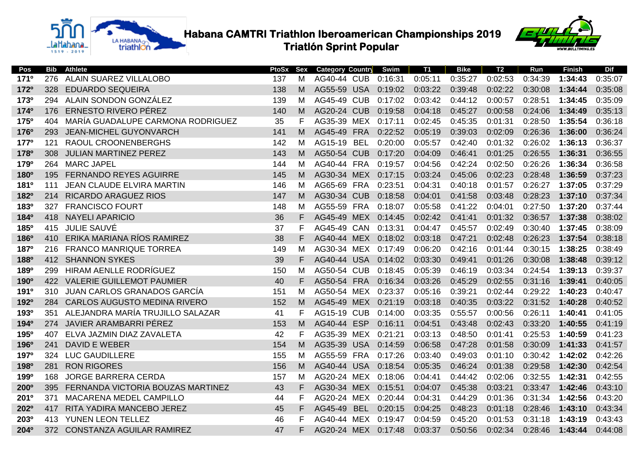



| Pos              | Bib  | <b>Athlete</b>                    | PtoSx | Sex | <b>Category Country</b> |            | Swim    | T1      | Bike    | T2      | Run     | <b>Finish</b> | <b>Dif</b> |
|------------------|------|-----------------------------------|-------|-----|-------------------------|------------|---------|---------|---------|---------|---------|---------------|------------|
| <b>171º</b>      | 276  | ALAIN SUAREZ VILLALOBO            | 137   | М   | AG40-44 CUB             |            | 0:16:31 | 0:05:11 | 0:35:27 | 0:02:53 | 0:34:39 | 1:34:43       | 0:35:07    |
| 1720             | 328  | <b>EDUARDO SEQUEIRA</b>           | 138   | м   | AG55-59 USA             |            | 0:19:02 | 0:03:22 | 0:39:48 | 0:02:22 | 0:30:08 | 1:34:44       | 0:35:08    |
| <b>173º</b>      |      | 294 ALAIN SONDON GONZÁLEZ         | 139   | м   | AG45-49                 | <b>CUB</b> | 0:17:02 | 0:03:42 | 0:44:12 | 0:00:57 | 0:28:51 | 1:34:45       | 0:35:09    |
| 1740             | 176  | ERNESTO RIVERO PÉREZ              | 140   | м   | AG20-24 CUB             |            | 0:19:58 | 0:04:18 | 0:45:27 | 0:00:58 | 0:24:06 | 1:34:49       | 0:35:13    |
| <b>175°</b>      | 404  | MARÍA GUADALUPE CARMONA RODRIGUEZ | 35    | F   | AG35-39 MEX             |            | 0:17:11 | 0:02:45 | 0:45:35 | 0:01:31 | 0:28:50 | 1:35:54       | 0:36:18    |
| <b>176°</b>      | 293  | <b>JEAN-MICHEL GUYONVARCH</b>     | 141   | М   | AG45-49 FRA             |            | 0:22:52 | 0:05:19 | 0:39:03 | 0:02:09 | 0:26:36 | 1:36:00       | 0:36:24    |
| <b>177°</b>      | 121  | <b>RAOUL CROONENBERGHS</b>        | 142   | м   | AG15-19 BEL             |            | 0:20:00 | 0:05:57 | 0:42:40 | 0:01:32 | 0:26:02 | 1:36:13       | 0:36:37    |
| <b>178°</b>      | 308  | <b>JULIAN MARTINEZ PEREZ</b>      | 143   | м   | AG50-54 CUB             |            | 0:17:20 | 0:04:09 | 0:46:41 | 0:01:25 | 0:26:55 | 1:36:31       | 0:36:55    |
| <b>179°</b>      | 264  | <b>MARC JAPEL</b>                 | 144   | м   | AG40-44 FRA             |            | 0:19:57 | 0:04:56 | 0:42:24 | 0:02:50 | 0:26:26 | 1:36:34       | 0:36:58    |
| <b>180°</b>      | 195  | <b>FERNANDO REYES AGUIRRE</b>     | 145   | м   | AG30-34 MEX             |            | 0:17:15 | 0:03:24 | 0:45:06 | 0:02:23 | 0:28:48 | 1:36:59       | 0:37:23    |
| <b>181º</b>      | 111  | JEAN CLAUDE ELVIRA MARTIN         | 146   | М   | AG65-69 FRA             |            | 0:23:51 | 0:04:31 | 0:40:18 | 0:01:57 | 0:26:27 | 1:37:05       | 0:37:29    |
| <b>182º</b>      | 214  | <b>RICARDO ARAGUEZ RIOS</b>       | 147   | м   | AG30-34 CUB             |            | 0:18:58 | 0:04:01 | 0:41:58 | 0:03:48 | 0:28:23 | 1:37:10       | 0:37:34    |
| <b>183º</b>      | 327  | <b>FRANCISCO FOURT</b>            | 148   | м   | AG55-59 FRA             |            | 0:18:07 | 0:05:58 | 0:41:22 | 0:04:01 | 0:27:50 | 1:37:20       | 0:37:44    |
| <b>184°</b>      | 418  | <b>NAYELI APARICIO</b>            | 36    | F   | AG45-49 MEX             |            | 0:14:45 | 0:02:42 | 0:41:41 | 0:01:32 | 0:36:57 | 1:37:38       | 0:38:02    |
| 185 <sup>o</sup> | 415  | <b>JULIE SAUVÉ</b>                | 37    | F   | AG45-49 CAN             |            | 0:13:31 | 0:04:47 | 0:45:57 | 0:02:49 | 0:30:40 | 1:37:45       | 0:38:09    |
| <b>186°</b>      | 410  | ERIKA MARIANA RÍOS RAMIREZ        | 38    | F   | AG40-44 MEX             |            | 0:18:02 | 0:03:18 | 0:47:21 | 0:02:48 | 0:26:23 | 1:37:54       | 0:38:18    |
| <b>187°</b>      |      | 216 FRANCO MANRIQUE TORREA        | 149   | М   | AG30-34 MEX             |            | 0:17:49 | 0:06:20 | 0:42:16 | 0:01:44 | 0:30:15 | 1:38:25       | 0:38:49    |
| <b>188°</b>      | 412  | <b>SHANNON SYKES</b>              | 39    | F   | AG40-44 USA             |            | 0:14:02 | 0:03:30 | 0:49:41 | 0:01:26 | 0:30:08 | 1:38:48       | 0:39:12    |
| <b>189º</b>      | 299  | HIRAM AENLLE RODRÍGUEZ            | 150   | м   | AG50-54 CUB             |            | 0:18:45 | 0:05:39 | 0:46:19 | 0:03:34 | 0:24:54 | 1:39:13       | 0:39:37    |
| 190 <sup>o</sup> |      | 422 VALERIE GUILLEMOT PAUMIER     | 40    | F   | AG50-54 FRA             |            | 0:16:34 | 0:03:26 | 0:45:29 | 0:02:55 | 0:31:16 | 1:39:41       | 0:40:05    |
| <b>191º</b>      | 310  | JUAN CARLOS GRANADOS GARCÍA       | 151   | м   | AG50-54 MEX             |            | 0:23:37 | 0:05:16 | 0:39:21 | 0:02:44 | 0:29:22 | 1:40:23       | 0:40:47    |
| <b>192º</b>      | 284  | CARLOS AUGUSTO MEDINA RIVERO      | 152   | м   | AG45-49 MEX             |            | 0:21:19 | 0:03:18 | 0:40:35 | 0:03:22 | 0:31:52 | 1:40:28       | 0:40:52    |
| <b>193º</b>      | 351  | ALEJANDRA MARÍA TRUJILLO SALAZAR  | 41    | F   | <b>AG15-19 CUB</b>      |            | 0:14:00 | 0:03:35 | 0:55:57 | 0:00:56 | 0:26:11 | 1:40:41       | 0:41:05    |
| 1940             | 274  | JAVIER ARAMBARRI PÉREZ            | 153   | M   | AG40-44 ESP             |            | 0:16:11 | 0:04:51 | 0:43:48 | 0:02:43 | 0:33:20 | 1:40:55       | 0:41:19    |
| <b>195°</b>      | 407  | ELVA JAZMIN DIAZ ZAVALETA         | 42    | F   | AG35-39 MEX             |            | 0:21:21 | 0:03:13 | 0:48:50 | 0:01:41 | 0:25:53 | 1:40:59       | 0:41:23    |
| <b>196°</b>      | 241  | DAVID E WEBER                     | 154   | M   | AG35-39 USA             |            | 0:14:59 | 0:06:58 | 0:47:28 | 0:01:58 | 0:30:09 | 1:41:33       | 0:41:57    |
| <b>197°</b>      | 324  | <b>LUC GAUDILLERE</b>             | 155   | м   | AG55-59 FRA             |            | 0:17:26 | 0:03:40 | 0:49:03 | 0:01:10 | 0:30:42 | 1:42:02       | 0:42:26    |
| <b>198°</b>      | 281  | <b>RON RIGORES</b>                | 156   | M   | AG40-44 USA             |            | 0:18:54 | 0:05:35 | 0:46:24 | 0:01:38 | 0:29:58 | 1:42:30       | 0:42:54    |
| <b>199º</b>      | 168  | <b>JORGE BARRERA CERDA</b>        | 157   | м   | AG20-24 MEX             |            | 0:18:06 | 0:04:41 | 0:44:42 | 0:02:06 | 0:32:55 | 1:42:31       | 0:42:55    |
| 200 <sup>o</sup> | 395  | FERNANDA VICTORIA BOUZAS MARTINEZ | 43    | F   | AG30-34 MEX             |            | 0:15:51 | 0:04:07 | 0:45:38 | 0:03:21 | 0:33:47 | 1:42:46       | 0:43:10    |
| 201 <sup>o</sup> | 371  | MACARENA MEDEL CAMPILLO           | 44    | F   | AG20-24 MEX             |            | 0:20:44 | 0:04:31 | 0:44:29 | 0:01:36 | 0:31:34 | 1:42:56       | 0:43:20    |
| 202 <sup>o</sup> | 417  | RITA YADIRA MANCEBO JEREZ         | 45    | F   | AG45-49                 | <b>BEL</b> | 0:20:15 | 0:04:25 | 0:48:23 | 0:01:18 | 0:28:46 | 1:43:10       | 0:43:34    |
| 203 <sup>o</sup> | 413. | YUNEN LEON TELLEZ                 | 46    | F   | AG40-44 MEX             |            | 0:19:47 | 0:04:59 | 0:45:20 | 0:01:53 | 0:31:18 | 1:43:19       | 0:43:43    |
| <b>204°</b>      |      | 372 CONSTANZA AGUILAR RAMIREZ     | 47    | F   | AG20-24 MEX 0:17:48     |            |         | 0:03:37 | 0:50:56 | 0:02:34 | 0:28:46 | 1:43:44       | 0:44:08    |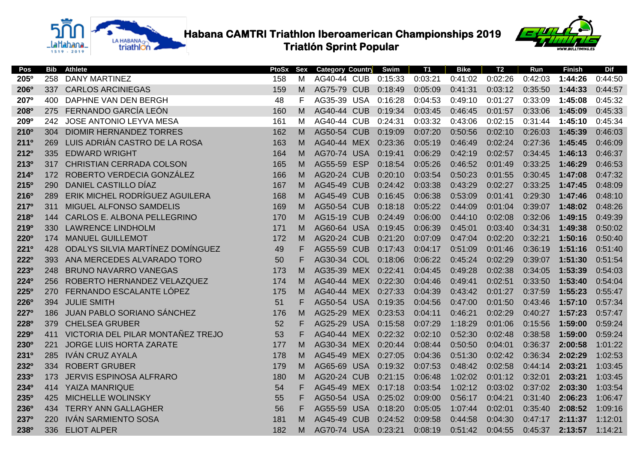



| Pos              | Bib | <b>Athlete</b>                    | <b>PtoSx</b> | Sex | <b>Category Country</b> |            | Swim    | <b>T1</b> | <b>Bike</b> | T <sub>2</sub> | Run     | <b>Finish</b> | <b>Dif</b> |
|------------------|-----|-----------------------------------|--------------|-----|-------------------------|------------|---------|-----------|-------------|----------------|---------|---------------|------------|
| 205 <sup>o</sup> | 258 | <b>DANY MARTINEZ</b>              | 158          | M   | AG40-44 CUB             |            | 0:15:33 | 0:03:21   | 0:41:02     | 0:02:26        | 0:42:03 | 1:44:26       | 0:44:50    |
| <b>206°</b>      | 337 | <b>CARLOS ARCINIEGAS</b>          | 159          | M   | AG75-79 CUB             |            | 0:18:49 | 0:05:09   | 0:41:31     | 0:03:12        | 0:35:50 | 1:44:33       | 0:44:57    |
| <b>207°</b>      | 400 | DAPHNE VAN DEN BERGH              | 48           | F   | AG35-39 USA             |            | 0:16:28 | 0:04:53   | 0:49:10     | 0:01:27        | 0:33:09 | 1:45:08       | 0:45:32    |
| <b>208°</b>      | 275 | FERNANDO GARCÍA LEÓN              | 160          | M   | <b>AG40-44 CUB</b>      |            | 0:19:34 | 0:03:45   | 0:46:45     | 0:01:57        | 0:33:06 | 1:45:09       | 0:45:33    |
| 209 <sup>o</sup> | 242 | <b>JOSE ANTONIO LEYVA MESA</b>    | 161          | M   | <b>AG40-44 CUB</b>      |            | 0:24:31 | 0:03:32   | 0:43:06     | 0:02:15        | 0:31:44 | 1:45:10       | 0:45:34    |
| 210 <sup>o</sup> | 304 | <b>DIOMIR HERNANDEZ TORRES</b>    | 162          | М   | <b>AG50-54 CUB</b>      |            | 0:19:09 | 0:07:20   | 0:50:56     | 0:02:10        | 0:26:03 | 1:45:39       | 0:46:03    |
| <b>211°</b>      | 269 | LUIS ADRIÁN CASTRO DE LA ROSA     | 163          | M   | AG40-44 MEX             |            | 0:23:36 | 0:05:19   | 0:46:49     | 0:02:24        | 0:27:36 | 1:45:45       | 0:46:09    |
| 212°             | 335 | <b>EDWARD WRIGHT</b>              | 164          | M   | AG70-74 USA             |            | 0:19:41 | 0:06:29   | 0:42:19     | 0:02:57        | 0:34:45 | 1:46:13       | 0:46:37    |
| <b>213º</b>      | 317 | <b>CHRISTIAN CERRADA COLSON</b>   | 165          | M   | AG55-59                 | <b>ESP</b> | 0:18:54 | 0:05:26   | 0:46:52     | 0:01:49        | 0:33:25 | 1:46:29       | 0:46:53    |
| 214 <sup>o</sup> | 172 | ROBERTO VERDECIA GONZÁLEZ         | 166          | M   | <b>AG20-24 CUB</b>      |            | 0:20:10 | 0:03:54   | 0:50:23     | 0:01:55        | 0:30:45 | 1:47:08       | 0:47:32    |
| <b>215°</b>      | 290 | DANIEL CASTILLO DÍAZ              | 167          | M   | AG45-49                 | <b>CUB</b> | 0:24:42 | 0:03:38   | 0:43:29     | 0:02:27        | 0:33:25 | 1:47:45       | 0:48:09    |
| 216°             | 289 | ERIK MICHEL RODRÍGUEZ AGUILERA    | 168          | M   | <b>AG45-49 CUB</b>      |            | 0:16:45 | 0:06:38   | 0:53:09     | 0:01:41        | 0:29:30 | 1:47:46       | 0:48:10    |
| 217°             | 311 | MIGUEL ALFONSO SAMDELIS           | 169          | M   | <b>AG50-54 CUB</b>      |            | 0:18:18 | 0:05:22   | 0:44:09     | 0:01:04        | 0:39:07 | 1:48:02       | 0:48:26    |
| <b>218°</b>      | 144 | CARLOS E. ALBONA PELLEGRINO       | 170          | M   | AG15-19                 | <b>CUB</b> | 0:24:49 | 0:06:00   | 0:44:10     | 0:02:08        | 0:32:06 | 1:49:15       | 0:49:39    |
| <b>219°</b>      | 330 | <b>LAWRENCE LINDHOLM</b>          | 171          | M   | AG60-64 USA             |            | 0:19:45 | 0:06:39   | 0:45:01     | 0:03:40        | 0:34:31 | 1:49:38       | 0:50:02    |
| <b>220°</b>      | 174 | <b>MANUEL GUILLEMOT</b>           | 172          | M   | <b>AG20-24 CUB</b>      |            | 0:21:20 | 0:07:09   | 0:47:04     | 0:02:20        | 0:32:21 | 1:50:16       | 0:50:40    |
| <b>221º</b>      | 428 | ODALYS SILVIA MARTÍNEZ DOMÍNGUEZ  | 49           | F   | AG55-59 CUB             |            | 0:17:43 | 0:04:17   | 0:51:09     | 0:01:46        | 0:36:19 | 1:51:16       | 0:51:40    |
| 2220             | 393 | ANA MERCEDES ALVARADO TORO        | 50           | F   | AG30-34 COL             |            | 0:18:06 | 0:06:22   | 0:45:24     | 0:02:29        | 0:39:07 | 1:51:30       | 0:51:54    |
| 2230             | 248 | <b>BRUNO NAVARRO VANEGAS</b>      | 173          | M   | AG35-39 MEX             |            | 0:22:41 | 0:04:45   | 0:49:28     | 0:02:38        | 0:34:05 | 1:53:39       | 0:54:03    |
| 2240             | 256 | ROBERTO HERNANDEZ VELAZQUEZ       | 174          | M   | AG40-44 MEX             |            | 0:22:30 | 0:04:46   | 0:49:41     | 0:02:51        | 0:33:50 | 1:53:40       | 0:54:04    |
| 225°             | 270 | FERNANDO ESCALANTE LÓPEZ          | 175          | M   | AG40-44 MEX             |            | 0:27:33 | 0:04:39   | 0:43:42     | 0:01:27        | 0:37:59 | 1:55:23       | 0:55:47    |
| 226°             | 394 | <b>JULIE SMITH</b>                | 51           | F   | AG50-54 USA             |            | 0:19:35 | 0:04:56   | 0:47:00     | 0:01:50        | 0:43:46 | 1:57:10       | 0:57:34    |
| 227°             | 186 | JUAN PABLO SORIANO SÁNCHEZ        | 176          | M   | AG25-29 MEX             |            | 0:23:53 | 0:04:11   | 0:46:21     | 0:02:29        | 0:40:27 | 1:57:23       | 0:57:47    |
| 228°             | 379 | <b>CHELSEA GRUBER</b>             | 52           | F   | AG25-29 USA             |            | 0:15:58 | 0:07:29   | 1:18:29     | 0:01:06        | 0:15:56 | 1:59:00       | 0:59:24    |
| <b>229°</b>      | 411 | VICTORIA DEL PILAR MONTAÑEZ TREJO | 53           | F   | AG40-44 MEX             |            | 0:22:32 | 0:02:10   | 0:52:30     | 0:02:48        | 0:38:58 | 1:59:00       | 0:59:24    |
| <b>230°</b>      | 221 | JORGE LUIS HORTA ZARATE           | 177          | М   | AG30-34 MEX             |            | 0:20:44 | 0:08:44   | 0:50:50     | 0:04:01        | 0:36:37 | 2:00:58       | 1:01:22    |
| 2310             | 285 | IVÁN CRUZ AYALA                   | 178          | M   | AG45-49 MEX             |            | 0:27:05 | 0:04:36   | 0:51:30     | 0:02:42        | 0:36:34 | 2:02:29       | 1:02:53    |
| 2320             | 334 | <b>ROBERT GRUBER</b>              | 179          | M   | AG65-69 USA             |            | 0:19:32 | 0:07:53   | 0:48:42     | 0:02:58        | 0:44:14 | 2:03:21       | 1:03:45    |
| 2330             | 173 | <b>JERVIS ESPINOSA ALFRARO</b>    | 180          | M   | AG20-24 CUB             |            | 0:21:15 | 0:06:48   | 1:02:02     | 0:01:12        | 0:32:01 | 2:03:21       | 1:03:45    |
| 2340             | 414 | <b>YAIZA MANRIQUE</b>             | 54           | F   | AG45-49 MEX             |            | 0:17:18 | 0:03:54   | 1:02:12     | 0:03:02        | 0:37:02 | 2:03:30       | 1:03:54    |
| <b>235°</b>      | 425 | <b>MICHELLE WOLINSKY</b>          | 55           | F   | AG50-54 USA             |            | 0:25:02 | 0:09:00   | 0:56:17     | 0:04:21        | 0:31:40 | 2:06:23       | 1:06:47    |
| 236°             | 434 | <b>TERRY ANN GALLAGHER</b>        | 56           | F   | AG55-59 USA             |            | 0:18:20 | 0:05:05   | 1:07:44     | 0:02:01        | 0:35:40 | 2:08:52       | 1:09:16    |
| 2370             | 220 | <b>IVÁN SARMIENTO SOSA</b>        | 181          | м   | AG45-49                 | <b>CUB</b> | 0:24:52 | 0:09:58   | 0:44:58     | 0:04:30        | 0:47:17 | 2:11:37       | 1:12:01    |
| <b>238°</b>      | 336 | <b>ELIOT ALPER</b>                | 182          | М   | AG70-74 USA             |            | 0:23:21 | 0:08:19   | 0:51:42     | 0:04:55        | 0:45:37 | 2:13:57       | 1:14:21    |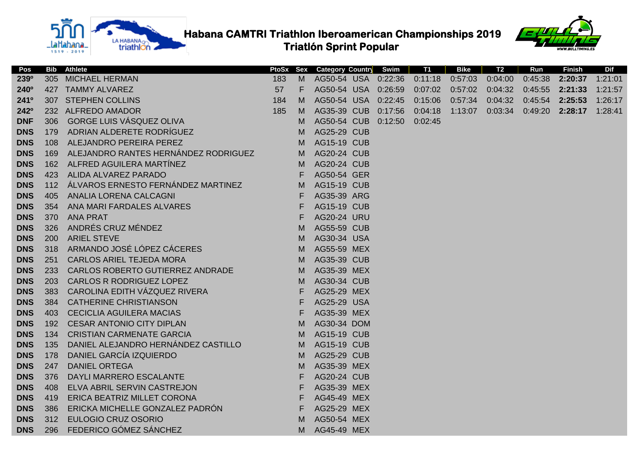

**TABLE Habana CAMTRI Triathlon Iberoamerican Championships 2019** 

 **Triatlón Sprint Popular**



| Pos              |     | <b>Bib</b> Athlete                   |     |    | <b>PtoSx Sex Category Country</b> | Swim    | <b>T1</b> | Bike    | T2      | Run     | <b>Finish</b> | Dif     |
|------------------|-----|--------------------------------------|-----|----|-----------------------------------|---------|-----------|---------|---------|---------|---------------|---------|
| 239 <sup>o</sup> | 305 | <b>MICHAEL HERMAN</b>                | 183 | M  | AG50-54 USA                       | 0:22:36 | 0:11:18   | 0:57:03 | 0:04:00 | 0:45:38 | 2:20:37       | 1:21:01 |
| 240 <sup>o</sup> | 427 | <b>TAMMY ALVAREZ</b>                 | 57  | F. | AG50-54 USA                       | 0:26:59 | 0:07:02   | 0:57:02 | 0:04:32 | 0:45:55 | 2:21:33       | 1:21:57 |
| 2410             |     | 307 STEPHEN COLLINS                  | 184 | M  | AG50-54 USA                       | 0:22:45 | 0:15:06   | 0:57:34 | 0:04:32 | 0:45:54 | 2:25:53       | 1:26:17 |
| 242°             |     | 232 ALFREDO AMADOR                   | 185 | M  | AG35-39 CUB                       | 0:17:56 | 0:04:18   | 1:13:07 | 0:03:34 | 0:49:20 | 2:28:17       | 1:28:41 |
| <b>DNF</b>       | 306 | <b>GORGE LUIS VÁSQUEZ OLIVA</b>      |     | M  | AG50-54 CUB                       | 0:12:50 | 0:02:45   |         |         |         |               |         |
| <b>DNS</b>       | 179 | ADRIAN ALDERETE RODRÍGUEZ            |     | M  | AG25-29 CUB                       |         |           |         |         |         |               |         |
| <b>DNS</b>       | 108 | ALEJANDRO PEREIRA PEREZ              |     | M  | <b>AG15-19 CUB</b>                |         |           |         |         |         |               |         |
| <b>DNS</b>       | 169 | ALEJANDRO RANTES HERNÁNDEZ RODRIGUEZ |     | M  | <b>AG20-24 CUB</b>                |         |           |         |         |         |               |         |
| <b>DNS</b>       | 162 | ALFRED AGUILERA MARTÍNEZ             |     | M  | AG20-24 CUB                       |         |           |         |         |         |               |         |
| <b>DNS</b>       | 423 | ALIDA ALVAREZ PARADO                 |     | F  | AG50-54 GER                       |         |           |         |         |         |               |         |
| <b>DNS</b>       | 112 | ÁLVAROS ERNESTO FERNÁNDEZ MARTINEZ   |     | M  | <b>AG15-19 CUB</b>                |         |           |         |         |         |               |         |
| <b>DNS</b>       | 405 | ANALIA LORENA CALCAGNI               |     | F  | AG35-39 ARG                       |         |           |         |         |         |               |         |
| <b>DNS</b>       | 354 | ANA MARI FARDALES ALVARES            |     | F  | <b>AG15-19 CUB</b>                |         |           |         |         |         |               |         |
| <b>DNS</b>       | 370 | <b>ANA PRAT</b>                      |     | F  | AG20-24 URU                       |         |           |         |         |         |               |         |
| <b>DNS</b>       | 326 | ANDRÉS CRUZ MÉNDEZ                   |     | M  | AG55-59 CUB                       |         |           |         |         |         |               |         |
| <b>DNS</b>       | 200 | <b>ARIEL STEVE</b>                   |     | M  | AG30-34 USA                       |         |           |         |         |         |               |         |
| <b>DNS</b>       | 318 | ARMANDO JOSÉ LÓPEZ CÁCERES           |     | M  | AG55-59 MEX                       |         |           |         |         |         |               |         |
| <b>DNS</b>       | 251 | <b>CARLOS ARIEL TEJEDA MORA</b>      |     | M  | AG35-39 CUB                       |         |           |         |         |         |               |         |
| <b>DNS</b>       | 233 | CARLOS ROBERTO GUTIERREZ ANDRADE     |     | M  | AG35-39 MEX                       |         |           |         |         |         |               |         |
| <b>DNS</b>       | 203 | <b>CARLOS R RODRIGUEZ LOPEZ</b>      |     | M  | AG30-34 CUB                       |         |           |         |         |         |               |         |
| <b>DNS</b>       | 383 | CAROLINA EDITH VÁZQUEZ RIVERA        |     | F  | AG25-29 MEX                       |         |           |         |         |         |               |         |
| <b>DNS</b>       | 384 | <b>CATHERINE CHRISTIANSON</b>        |     | F  | AG25-29 USA                       |         |           |         |         |         |               |         |
| <b>DNS</b>       | 403 | <b>CECICLIA AGUILERA MACIAS</b>      |     | F  | AG35-39 MEX                       |         |           |         |         |         |               |         |
| <b>DNS</b>       | 192 | <b>CESAR ANTONIO CITY DIPLAN</b>     |     | M  | AG30-34 DOM                       |         |           |         |         |         |               |         |
| <b>DNS</b>       | 134 | <b>CRISTIAN CARMENATE GARCIA</b>     |     | M  | <b>AG15-19 CUB</b>                |         |           |         |         |         |               |         |
| <b>DNS</b>       | 135 | DANIEL ALEJANDRO HERNÁNDEZ CASTILLO  |     | M  | <b>AG15-19 CUB</b>                |         |           |         |         |         |               |         |
| <b>DNS</b>       | 178 | DANIEL GARCÍA IZQUIERDO              |     | M  | AG25-29 CUB                       |         |           |         |         |         |               |         |
| <b>DNS</b>       | 247 | <b>DANIEL ORTEGA</b>                 |     | M  | AG35-39 MEX                       |         |           |         |         |         |               |         |
| <b>DNS</b>       | 376 | DAYLI MARRERO ESCALANTE              |     | F  | <b>AG20-24 CUB</b>                |         |           |         |         |         |               |         |
| <b>DNS</b>       | 408 | ELVA ABRIL SERVIN CASTREJON          |     | F  | AG35-39 MEX                       |         |           |         |         |         |               |         |
| <b>DNS</b>       | 419 | ERICA BEATRIZ MILLET CORONA          |     | F  | AG45-49 MEX                       |         |           |         |         |         |               |         |
| <b>DNS</b>       | 386 | ERICKA MICHELLE GONZALEZ PADRÓN      |     | F  | AG25-29 MEX                       |         |           |         |         |         |               |         |
| <b>DNS</b>       | 312 | <b>EULOGIO CRUZ OSORIO</b>           |     | M  | AG50-54 MEX                       |         |           |         |         |         |               |         |
| <b>DNS</b>       | 296 | FEDERICO GÓMEZ SÁNCHEZ               |     | M  | AG45-49 MEX                       |         |           |         |         |         |               |         |
|                  |     |                                      |     |    |                                   |         |           |         |         |         |               |         |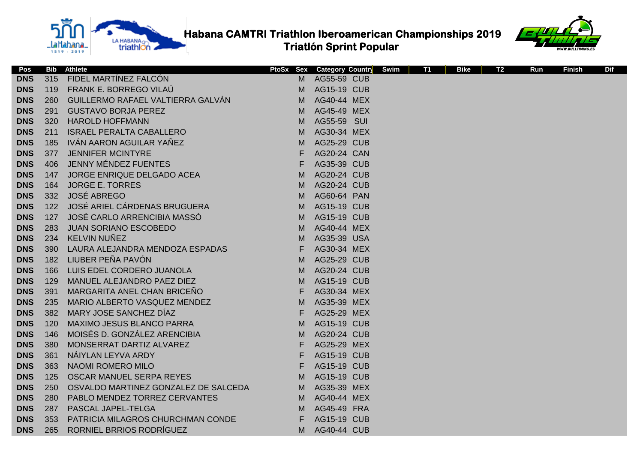



| Pos        | <b>Bib</b> | <b>Athlete</b>                       | PtoSx Sex | <b>Category Country</b> | Swim | <b>T1</b> | <b>Bike</b> | T2 | Run | <b>Finish</b> | <b>Dif</b> |
|------------|------------|--------------------------------------|-----------|-------------------------|------|-----------|-------------|----|-----|---------------|------------|
| <b>DNS</b> | 315        | FIDEL MARTÍNEZ FALCÓN                | м         | AG55-59 CUB             |      |           |             |    |     |               |            |
| <b>DNS</b> | 119        | FRANK E. BORREGO VILAÚ               | м         | <b>AG15-19 CUB</b>      |      |           |             |    |     |               |            |
| <b>DNS</b> | 260        | GUILLERMO RAFAEL VALTIERRA GALVÁN    | M         | AG40-44 MEX             |      |           |             |    |     |               |            |
| <b>DNS</b> | 291        | <b>GUSTAVO BORJA PEREZ</b>           | м         | AG45-49 MEX             |      |           |             |    |     |               |            |
| <b>DNS</b> | 320        | <b>HAROLD HOFFMANN</b>               | М         | AG55-59 SUI             |      |           |             |    |     |               |            |
| <b>DNS</b> | 211        | <b>ISRAEL PERALTA CABALLERO</b>      | M         | AG30-34 MEX             |      |           |             |    |     |               |            |
| <b>DNS</b> | 185        | IVÁN AARON AGUILAR YAÑEZ             | M         | AG25-29 CUB             |      |           |             |    |     |               |            |
| <b>DNS</b> | 377        | <b>JENNIFER MCINTYRE</b>             | F         | AG20-24 CAN             |      |           |             |    |     |               |            |
| <b>DNS</b> | 406        | JENNY MÉNDEZ FUENTES                 | F         | AG35-39 CUB             |      |           |             |    |     |               |            |
| <b>DNS</b> | 147        | JORGE ENRIQUE DELGADO ACEA           | M         | AG20-24 CUB             |      |           |             |    |     |               |            |
| <b>DNS</b> | 164        | <b>JORGE E. TORRES</b>               | M         | AG20-24 CUB             |      |           |             |    |     |               |            |
| <b>DNS</b> | 332        | <b>JOSÉ ABREGO</b>                   | M         | AG60-64 PAN             |      |           |             |    |     |               |            |
| <b>DNS</b> | 122        | JOSÉ ARIEL CÁRDENAS BRUGUERA         | M         | <b>AG15-19 CUB</b>      |      |           |             |    |     |               |            |
| <b>DNS</b> | 127        | JOSÉ CARLO ARRENCIBIA MASSÓ          | M         | <b>AG15-19 CUB</b>      |      |           |             |    |     |               |            |
| <b>DNS</b> | 283        | JUAN SORIANO ESCOBEDO                | M         | AG40-44 MEX             |      |           |             |    |     |               |            |
| <b>DNS</b> | 234        | <b>KELVIN NUÑEZ</b>                  | M         | AG35-39 USA             |      |           |             |    |     |               |            |
| <b>DNS</b> | 390        | LAURA ALEJANDRA MENDOZA ESPADAS      | F         | AG30-34 MEX             |      |           |             |    |     |               |            |
| <b>DNS</b> | 182        | LIUBER PEÑA PAVÓN                    | M         | <b>AG25-29 CUB</b>      |      |           |             |    |     |               |            |
| <b>DNS</b> | 166        | LUIS EDEL CORDERO JUANOLA            | M         | <b>AG20-24 CUB</b>      |      |           |             |    |     |               |            |
| <b>DNS</b> | 129        | MANUEL ALEJANDRO PAEZ DIEZ           | M         | <b>AG15-19 CUB</b>      |      |           |             |    |     |               |            |
| <b>DNS</b> | 391        | MARGARITA ANEL CHAN BRICEÑO          | E         | AG30-34 MEX             |      |           |             |    |     |               |            |
| <b>DNS</b> | 235        | MARIO ALBERTO VASQUEZ MENDEZ         | M         | AG35-39 MEX             |      |           |             |    |     |               |            |
| <b>DNS</b> | 382        | MARY JOSE SANCHEZ DÍAZ               | F         | AG25-29 MEX             |      |           |             |    |     |               |            |
| <b>DNS</b> | 120        | <b>MAXIMO JESUS BLANCO PARRA</b>     | M         | <b>AG15-19 CUB</b>      |      |           |             |    |     |               |            |
| <b>DNS</b> | 146        | MOISÉS D. GONZÁLEZ ARENCIBIA         | M         | AG20-24 CUB             |      |           |             |    |     |               |            |
| <b>DNS</b> | 380        | MONSERRAT DARTIZ ALVAREZ             | F         | AG25-29 MEX             |      |           |             |    |     |               |            |
| <b>DNS</b> | 361        | NÁIYLAN LEYVA ARDY                   | F         | <b>AG15-19 CUB</b>      |      |           |             |    |     |               |            |
| <b>DNS</b> | 363        | NAOMI ROMERO MILO                    | F         | <b>AG15-19 CUB</b>      |      |           |             |    |     |               |            |
| <b>DNS</b> | 125        | OSCAR MANUEL SERPA REYES             | M         | <b>AG15-19 CUB</b>      |      |           |             |    |     |               |            |
| <b>DNS</b> | 250        | OSVALDO MARTINEZ GONZALEZ DE SALCEDA | M         | AG35-39 MEX             |      |           |             |    |     |               |            |
| <b>DNS</b> | 280        | PABLO MENDEZ TORREZ CERVANTES        | M         | AG40-44 MEX             |      |           |             |    |     |               |            |
| <b>DNS</b> | 287        | PASCAL JAPEL-TELGA                   | M         | AG45-49 FRA             |      |           |             |    |     |               |            |
| <b>DNS</b> | 353        | PATRICIA MILAGROS CHURCHMAN CONDE    | F         | <b>AG15-19 CUB</b>      |      |           |             |    |     |               |            |
| <b>DNS</b> | 265        | RORNIEL BRRIOS RODRÍGUEZ             | M         | AG40-44 CUB             |      |           |             |    |     |               |            |